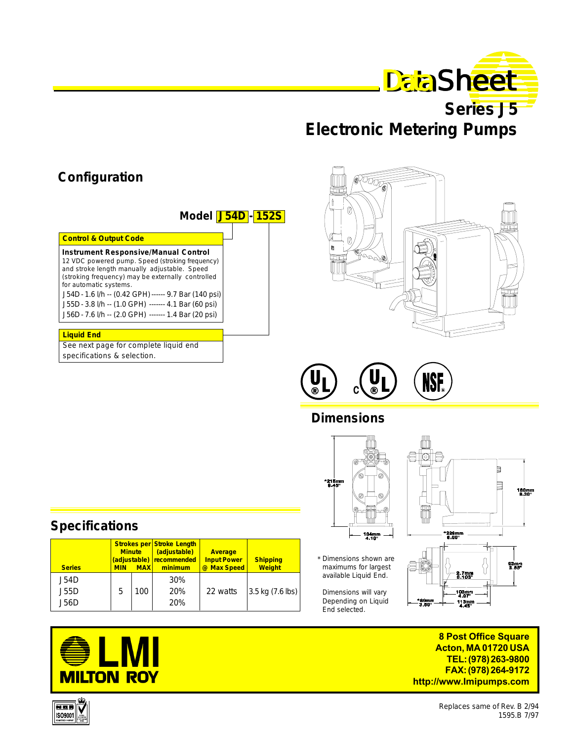

**Series J5 Electronic Metering Pumps**

# **Configuration**

|--|

| <b>Control &amp; Output Code</b>                                                                                                                                                                                                                                                       |
|----------------------------------------------------------------------------------------------------------------------------------------------------------------------------------------------------------------------------------------------------------------------------------------|
|                                                                                                                                                                                                                                                                                        |
| <b>Instrument Responsive/Manual Control</b><br>12 VDC powered pump. Speed (stroking frequency)<br>and stroke length manually adjustable. Speed<br>(stroking frequency) may be externally controlled<br>for automatic systems.<br>J54D - 1.6 I/h -- (0.42 GPH) ------ 9.7 Bar (140 psi) |
| J55D - 3.8 I/h -- (1.0 GPH) ------- 4.1 Bar (60 psi)<br>J56D - 7.6 I/h -- (2.0 GPH) ------- 1.4 Bar (20 psi)                                                                                                                                                                           |
|                                                                                                                                                                                                                                                                                        |

#### **Liquid End**

See next page for complete liquid end specifications & selection.

 **Strokes per Stroke Length**

**Series MIN MAX minimum @ Max Speed MIN MAX minimum** 

**Minute (adjustable) Average**<br>(adjustable) recommended Input Power

 **(adjustable) recommended Input Power Shipping**



**NSF** 

## **Dimensions**



- Dimensions shown are \* maximums for largest available Liquid End.
- Dimensions will vary Depending on Liquid End selected.



**8 Post Office Square Acton, MA 01720 USA TEL: (978) 263-9800 FAX: (978) 264-9172 http://www.Imipumps.com**



**Specifications**



Replaces same of Rev. B 2/94 1595.B 7/97